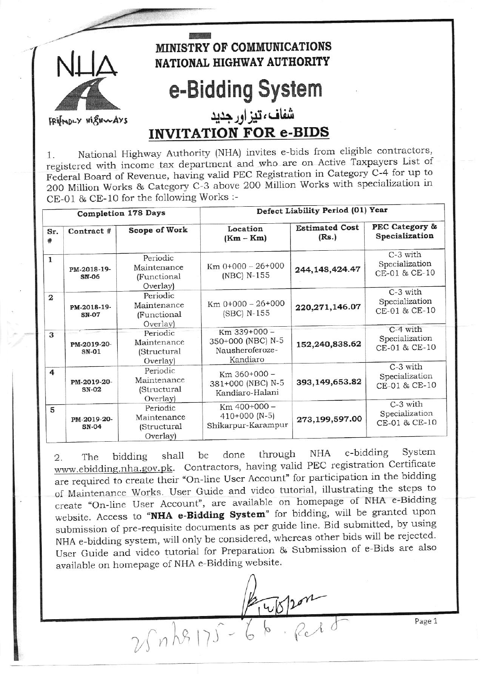

National Highway Authority (NHA) invites e-bids from eligible contractors, 1. registered with income tax department and who are on Active Taxpayers List of Federal Board of Revenue, having valid PEC Registration in Category C-4 for up to 200 Million Works & Category C-3 above 200 Million Works with specialization in CE-01 & CE-10 for the following Works :-

| <b>Completion 178 Days</b> |                             |                                                    | Defect Liability Period (01) Year                                |                                |                                             |
|----------------------------|-----------------------------|----------------------------------------------------|------------------------------------------------------------------|--------------------------------|---------------------------------------------|
| Sr.<br>#                   | Contract #                  | Scope of Work                                      | Location<br>$(Km - Km)$                                          | <b>Estimated Cost</b><br>(Rs.) | PEC Category &<br>Specialization            |
| $\mathbf{1}$               | PM-2018-19-<br><b>SN-06</b> | Periodic<br>Maintenance<br>(Functional<br>Overlay) | Km 0+000 - 26+000<br>(NBC) N-155                                 | 244, 148, 424. 47              | C-3 with<br>Specialization<br>CE-01 & CE-10 |
| $\mathbf{2}$               | PM-2018-19-<br><b>SN-07</b> | Periodic<br>Maintenance<br>(Functional<br>Overlay) | $Km 0+000 - 26+000$<br>(SBC) N-155                               | 220, 271, 146.07               | C-3 with<br>Specialization<br>CE-01 & CE-10 |
| 3                          | PM-2019-20-<br>$SN-01$      | Periodic<br>Maintenance<br>(Structural<br>Overlay) | Km 339+000 -<br>350+000 (NBC) N-5<br>Nausheroferoze-<br>Kandiaro | 152,240,838.62                 | C-4 with<br>Specialization<br>CE-01 & CE-10 |
| $\overline{4}$             | PM-2019-20-<br><b>SN-02</b> | Periodic<br>Maintenance<br>(Structural<br>Overlay) | Km 360+000 -<br>381+000 (NBC) N-5<br>Kandiaro-Halani             | 393,149,653.82                 | C-3 with<br>Specialization<br>CE-01 & CE-10 |
| 5                          | PM-2019-20-<br><b>SN-04</b> | Periodic<br>Maintenance<br>(Structural<br>Overlay) | Km 400+000 -<br>$410+000$ (N-5)<br>Shikarpur-Karampur            | 273,199,597.00                 | C-3 with<br>Specialization<br>CE-01 & CE-10 |

e-bidding System NHA done through be shall bidding  $2.$ The www.ebidding.nha.gov.pk. Contractors, having valid PEC registration Certificate are required to create their "On-line User Account" for participation in the bidding of Maintenance Works. User Guide and video tutorial, illustrating the steps to create "On-line User Account", are available on homepage of NHA e-Bidding website. Access to "NHA e-Bidding System" for bidding, will be granted upon submission of pre-requisite documents as per guide line. Bid submitted, by using NHA e-bidding system, will only be considered, whereas other bids will be rejected. User Guide and video tutorial for Preparation & Submission of e-Bids are also available on homepage of NHA e-Bidding website.

214/07/200 25 n 28 175